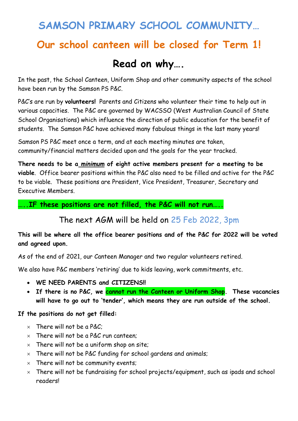# **SAMSON PRIMARY SCHOOL COMMUNITY…**

# **Our school canteen will be closed for Term 1!**

# **Read on why….**

In the past, the School Canteen, Uniform Shop and other community aspects of the school have been run by the Samson PS P&C.

P&C's are run by **volunteers!** Parents and Citizens who volunteer their time to help out in various capacities. The P&C are governed by WACSSO (West Australian Council of State School Organisations) which influence the direction of public education for the benefit of students. The Samson P&C have achieved many fabulous things in the last many years!

Samson PS P&C meet once a term, and at each meeting minutes are taken, community/financial matters decided upon and the goals for the year tracked.

**There needs to be a** *minimum* **of eight active members present for a meeting to be viable**. Office bearer positions within the P&C also need to be filled and active for the P&C to be viable. These positions are President, Vice President, Treasurer, Secretary and Executive Members.

**…..IF these positions are not filled, the P&C will not run…..**

The next AGM will be held on 25 Feb 2022, 3pm

**This will be where all the office bearer positions and of the P&C for 2022 will be voted and agreed upon.** 

As of the end of 2021, our Canteen Manager and two regular volunteers retired.

We also have P&C members 'retiring' due to kids leaving, work commitments, etc.

- **WE NEED PARENTS and CITIZENS!!**
- **If there is no P&C, we cannot run the Canteen or Uniform Shop. These vacancies will have to go out to 'tender', which means they are run outside of the school.**

#### **If the positions do not get filled:**

- $\times$  There will not be a P&C:
- $\times$  There will not be a P&C run canteen;
- $\times$  There will not be a uniform shop on site;
- $\times$  There will not be P&C funding for school gardens and animals;
- $\times$  There will not be community events;
- $\times$  There will not be fundraising for school projects/equipment, such as ipads and school readers!